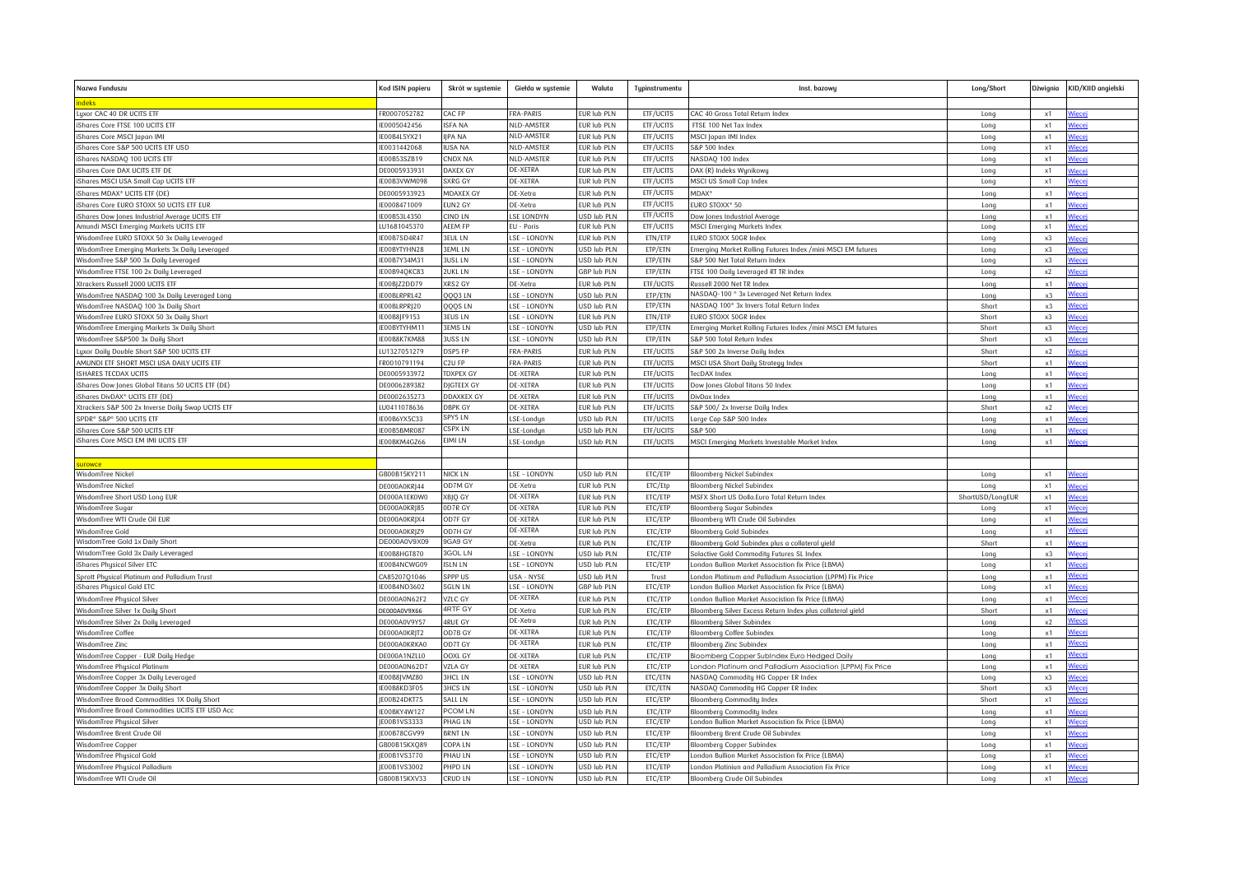| Nazwa Funduszu                                                                           | Kod ISIN papieru            | Skrót w systemie          | Giełda w systemie              | Waluta                            | Typinstrumentu         | Inst. bazowy                                                                                    | Long/Short       | Dżwignia   | KID/KIID angielski     |
|------------------------------------------------------------------------------------------|-----------------------------|---------------------------|--------------------------------|-----------------------------------|------------------------|-------------------------------------------------------------------------------------------------|------------------|------------|------------------------|
| ndeks                                                                                    |                             |                           |                                |                                   |                        |                                                                                                 |                  |            |                        |
| Luxor CAC 40 DR UCITS ETF                                                                | FR0007052782                | CAC FP                    | <b>FRA-PARIS</b>               | EUR lub PLN                       | ETF/UCITS              | CAC 40 Gross Total Return Index                                                                 | Long             | x1         | Viece                  |
| iShares Core FTSE 100 UCITS ETF                                                          | E0005042456                 | <b>ISFA NA</b>            | NLD-AMSTER                     | UR lub PLN                        | ETF/UCITS              | FTSE 100 Net Tox Index                                                                          | Long             | x1         | liecej                 |
| iShares Core MSCI Japan IMI                                                              | IE00B4L5YX21                | <b>IJPA NA</b>            | NLD-AMSTER                     | EUR lub PLN                       | ETF/UCITS              | MSCI Japan IMI Index                                                                            | Long             | x1         | Viecej                 |
| iShares Core S&P 500 UCITS ETF USD                                                       | IE0031442068                | <b>IUSA NA</b>            | NLD-AMSTER                     | EUR lub PLN                       | ETF/UCITS              | S&P 500 Index                                                                                   | Long             | x1         | <b>liecei</b>          |
| iShares NASDAO 100 UCITS ETF                                                             | IE00B53SZB19                | CNDX NA                   | NLD-AMSTER                     | EUR lub PLN                       | ETF/UCITS              | NASDAO 100 Index                                                                                | Long             | x1         | <u>liecej</u>          |
| iShares Core DAX UCITS ETF DE                                                            | DE0005933931                | DAXEX GY                  | <b>DE-XETRA</b>                | EUR lub PLN                       | ETF/UCITS              | DAX (R) Indeks Wynikowy                                                                         | Long             | x1         |                        |
| iShares MSCI USA Small Cap UCITS ETF                                                     | E00B3VWM098                 | SXRG GY                   | <b>DE-XETRA</b>                | EUR lub PLN                       | ETF/UCITS              | MSCI US Small Cap Index                                                                         | Long             | x1         | <u>liecei</u>          |
| iShares MDAX® UCITS ETF (DE)                                                             | DE0005933923                | <b>MDAXEX GY</b>          | DE-Xetra                       | UR lub PLN                        | ETF/UCITS              | MDAX <sup>®</sup>                                                                               | Long             | x1         | <b>liece</b>           |
| iShares Core EURO STOXX 50 UCITS ETF EUR                                                 | E0008471009                 | EUN <sub>2</sub> GY       | DE-Xetra                       | EUR lub PLN                       | ETF/UCITS              | EURO STOXX® 50                                                                                  | Long             | x1         | liece                  |
| iShares Dow Jones Industrial Average UCITS ETF<br>Amundi MSCI Emerging Markets UCITS ETF | E00B53L4350<br>LU1681045370 | CIND LN<br><b>AEEM FP</b> | <b>SE LONDYN</b><br>EU - Paris | <b>ISD lub PLN</b><br>EUR lub PLN | ETF/UCITS<br>ETF/UCITS | Dow Jones Industrial Average<br>MSCI Emerging Markets Index                                     | Long<br>Long     | x1<br>x1   | <b>Niecej</b>          |
| WisdomTree EURO STOXX 50 3x Daily Leveraged                                              | E00B7SD4R47                 | <b>3EUL LN</b>            | LSE - LONDYN                   | <b>UR lub PLN</b>                 | ETN/ETP                | EURO STOXX 50GR Index                                                                           | Long             | x3         |                        |
| WisdomTree Emerging Markets 3x Daily Leveraged                                           | IE00BYTYHN28                | <b>3EML LN</b>            | LSE - LONDYN                   | <b>JSD lub PLN</b>                | ETP/ETN                | Emerging Market Rolling Futures Index /mini MSCI EM futures                                     | Long             | x3         | <u>Viecej</u>          |
| WisdomTree S&P 500 3x Daily Leveraged                                                    | E00B7Y34M31                 | 3USL LN                   | LSE - LONDYN                   | JSD lub PLN                       | ETP/ETN                | S&P 500 Net Total Return Index                                                                  | Long             | x3         | iece                   |
| WisdomTree FTSE 100 2x Daily Leveraged                                                   | E00B94QKC83                 | 2UKL LN                   | LSE - LONDYN                   | GBP lub PLN                       | ETP/ETN                | FTSE 100 Daily Leveraged RT TR Index                                                            | Long             | x2         | 'iecej                 |
| Xtrackers Russell 2000 UCITS ETF                                                         | E00BJZ2DD79                 | XRS2 GY                   | DE-Xetro                       | UR lub PLN                        | ETF/UCITS              | Russell 2000 Net TR Index                                                                       | Long             | x1         |                        |
| WisdomTree NASDAQ 100 3x Daily Leveraged Long                                            | E00BLRPRL42                 | QQQ3 LN                   | LSE - LONDYN                   | JSD lub PLN                       | ETP/ETN                | NASDAQ-100 ® 3x Leveraged Net Return Index                                                      | Long             | x3         | <b>liece</b>           |
| WisdomTree NASDAO 100 3x Dailu Short                                                     | E00BLRPRI20                 | 000S LN                   | LSE - LONDYN                   | <b>ISD lub PLN</b>                | ETP/ETN                | NASDAO 100° 3x Invers Total Return Index                                                        | Short            | x3         | <u>lięcej</u>          |
| WisdomTree EURO STOXX 50 3x Daily Short                                                  | E00B8JF9153                 | 3EUS LN                   | LSE - LONDYN                   | EUR lub PLN                       | ETN/ETP                | EURO STOXX 50GR Index                                                                           | Short            | x3         | liecei                 |
| WisdomTree Emerging Markets 3x Daily Short                                               | E00BYTYHM11                 | BEMS LN                   | LSE - LONDYN                   | JSD lub PLN                       | ETP/ETN                | Emerging Market Rolling Futures Index /mini MSCI EM futures                                     | Short            | x3         | 'iecei                 |
| WisdomTree S&P500 3x Daily Short                                                         | E00B8K7KM88                 | 3USS LN                   | LSE - LONDYN                   | JSD lub PLN                       | ETP/ETN                | S&P 500 Total Return Index                                                                      | Short            | x3         | <i>l</i> iecei         |
| Luxor Daily Double Short S&P 500 UCITS ETF                                               | U1327051279                 | DSP5 FP                   | <b>FRA-PARIS</b>               | UR lub PLN                        | ETF/UCITS              | S&P 500 2x Inverse Daily Index                                                                  | Short            | x2         |                        |
| AMUNDI ETF SHORT MSCI USA DAILY UCITS ETF                                                | R0010791194                 | C <sub>2</sub> U FP       | <b>FRA-PARIS</b>               | EUR lub PLN                       | ETF/UCITS              | MSCI USA Short Daily Strategy Index                                                             | Short            | x1         | <i>l</i> iece          |
| <b>ISHARES TECDAX UCITS</b>                                                              | DE0005933972                | <b>TDXPEX GY</b>          | <b>DE-XETRA</b>                | EUR lub PLN                       | ETF/UCITS              | ecDAX Index                                                                                     | Long             | x1         |                        |
| iShares Dow Jones Global Titans 50 UCITS ETF (DE)                                        | DE0006289382                | DIGTEEX GY                | <b>DE-XETRA</b>                | EUR lub PLN                       | ETF/UCITS              | Dow Jones Global Titans 50 Index                                                                | Long             | x1         |                        |
| iShares DivDAX® UCITS ETF (DE)                                                           | DE0002635273                | <b>DDAXKEX GY</b>         | DE-XETRA                       | EUR lub PLN                       | ETF/UCITS              | DivDax Index                                                                                    | Long             | x1         | liece                  |
| Xtrackers S&P 500 2x Inverse Daily Swap UCITS ETF                                        | U0411078636                 | <b>DBPK GY</b>            | <b>DE-XETRA</b>                | <b>UR lub PLN</b>                 | ETF/UCITS              | S&P 500/2x Inverse Daily Index                                                                  | Short            | x2         |                        |
| SPDR® S&P® 500 UCITS ETF                                                                 | E00B6YX5C33                 | SPY5 LN                   | LSE-Londun                     | JSD lub PLN                       | ETF/UCITS              | Large Cap S&P 500 Index                                                                         | Long             | x1         |                        |
| iShares Core S&P 500 UCITS ETF                                                           | E00B5BMR087                 | CSPX LN                   | LSE-Londyn                     | JSD lub PLN                       | ETF/UCITS              | S&P 500                                                                                         | Long             | x1         | liece                  |
| iShares Core MSCI EM IMI UCITS ETF                                                       | E00BKM4GZ66                 | EIMI LN                   | LSE-Londun                     | JSD lub PLN                       | ETF/UCITS              | MSCI Emerging Markets Investable Market Index                                                   | Long             | x1         |                        |
|                                                                                          |                             |                           |                                |                                   |                        |                                                                                                 |                  |            |                        |
|                                                                                          |                             |                           |                                |                                   |                        |                                                                                                 |                  |            |                        |
| WisdomTree Nickel                                                                        | 3B00B15KY211                | NICK LN                   | LSE - LONDYN                   | USD lub PLN                       | ETC/ETP                | Bloomberg Nickel Subindex                                                                       | Long             | x1         | <u>liecej</u>          |
| WisdomTree Nickel                                                                        | DE000A0KRI44                | OD7M GY                   | DE-Xetra                       | EUR lub PLN                       | ETC/Etp                | Bloomberg Nickel Subindex                                                                       | Long             | x1         |                        |
| WisdomTree Short USD Long EUR                                                            | DE000A1EK0W0                | XBJQ GY                   | <b>DE-XETRA</b>                | EUR lub PLN                       | ETC/ETP                | MSFX Short US Dolla.Euro Total Return Index                                                     | ShortUSD/LongEUR | $\times$ 1 | <b>liecei</b>          |
| WisdomTree Sugar                                                                         | <b>DE000A0KRJ85</b>         | 0D7R GY<br>OD7F GY        | DE-XETRA<br><b>DE-XETRA</b>    | EUR lub PLN<br>EUR lub PLN        | ETC/ETP<br>ETC/ETP     | Bloomberg Sugar Subindex                                                                        | Long             | x1         | <u>'iecei</u>          |
| WisdomTree WTI Crude Oil EUR                                                             | DE000A0KRJX4                |                           | <b>DE-XETRA</b>                |                                   |                        | Bloomberg WTI Crude Oil Subindex                                                                | Long             | x1         | <b>Niecej</b><br>'iece |
| WisdomTree Gold<br>WisdomTree Gold 1x Daily Short                                        | E000A0KRJZ9<br>DE000A0V9X09 | <b>DD7H GY</b><br>9GA9 GY |                                | <b>UR lub PLN</b>                 | ETC/ETP<br>ETC/ETP     | <b>Bloomberg Gold Subindex</b>                                                                  | Long             | x1         |                        |
| WisdomTree Gold 3x Daily Leveraged                                                       |                             | <b>BGOL LN</b>            | DE-Xetra                       | EUR lub PLN                       | ETC/ETP                | Bloomberg Gold Subindex plus a collateral yield                                                 | Short            | x1<br>x3   | <i>l</i> iecei         |
| iShares Physical Silver ETC                                                              | IE00B8HGT870<br>E00B4NCWG09 | <b>ISLN LN</b>            | LSE - LONDYN<br>LSE - LONDYN   | JSD lub PLN<br>JSD lub PLN        | ETC/ETP                | Solactive Gold Commodity Futures SL Index<br>London Bullion Market Associstion fix Price (LBMA) | Long<br>Long     | x1         | /iecei                 |
| Sprott Physical Platinum and Palladium Trust                                             | CA8520701046                | SPPP US                   | <b>USA - NYSE</b>              | <b>JSD lub PLN</b>                | Trust                  | London Platinum and Palladium Association (LPPM) Fix Price                                      | Long             | x1         | liece                  |
| iShares Physical Gold ETC                                                                | E00B4ND3602                 | <b>SGLN LN</b>            | LSE - LONDYN                   | 3BP lub PLN                       | ETC/ETP                | London Bullion Market Associstion fix Price (LBMA)                                              | Long             | x1         | <b>liecei</b>          |
| WisdomTree Physical Silver                                                               | DE000A0N62F2                | VZLC GY                   | <b>DE-XETRA</b>                | EUR lub PLN                       | ETC/ETP                | London Bullion Market Associstion fix Price (LBMA)                                              | Long             | x1         | liecei                 |
| WisdomTree Silver 1x Daily Short                                                         | DE000A0V9X66                | <b>4RTF GY</b>            | DE-Xetra                       | EUR lub PLN                       | ETC/ETP                | Bloomberg Silver Excess Return Index plus collateral yield                                      | Short            | x1         |                        |
| WisdomTree Silver 2x Daily Leveraged                                                     | DE000A0V9Y57                | <b>4RUE GY</b>            | DE-Xetra                       | EUR lub PLN                       | ETC/ETP                | Bloomberg Silver Subindex                                                                       | Long             | x2         | 'iece                  |
| WisdomTree Coffee                                                                        | DE000A0KRIT2                | OD7B GY                   | <b>DE-XETRA</b>                | EUR lub PLN                       | ETC/ETP                | Bloomberg Coffee Subindex                                                                       | Long             | $\times 1$ | <u>liecej</u>          |
| WisdomTree Zinc                                                                          | DE000A0KRKA0                | OD7T GY                   | <b>DE-XETRA</b>                | EUR lub PLN                       | ETC/ETP                | <b>Bloomberg Zinc Subindex</b>                                                                  | Long             | x1         | <b>liecei</b>          |
| WisdomTree Copper - EUR Daily Hedge                                                      | DE000A1NZLL0                | OOXL GY                   | <b>DE-XETRA</b>                | UR lub PLN                        | ETC/ETP                | Bloomberg Copper SubIndex Euro Hedged Daily                                                     | Long             | x1         | <i>l</i> iecei         |
| WisdomTree Physical Platinum                                                             | E000A0N62D7                 | VZLA GY                   | <b>DE-XETRA</b>                | EUR lub PLN                       | ETC/ETP                | London Platinum and Palladium Association (LPPM) Fix Price                                      | Long             | x1         | <i>l</i> iecei         |
| WisdomTree Copper 3x Daily Leveraged                                                     | IE00B8JVMZ80                | <b>BHCLLN</b>             | LSE - LONDYN                   | <b>JSD lub PLN</b>                | ETC/ETN                | NASDAQ Commodity HG Copper ER Index                                                             | Long             | x3         | <u>liecej</u>          |
| WisdomTree Copper 3x Daily Short                                                         | IE00B8KD3F05                | <b>3HCS LN</b>            | LSE - LONDYN                   | <b>JSD lub PLN</b>                | ETC/ETN                | NASDAQ Commodity HG Copper ER Index                                                             | Short            | x3         | <u>liecei</u>          |
| WisdomTree Broad Commodities 1X Daily Short                                              | E00B24DKT75                 | SALL LN                   | LSE - LONDYN                   | USD lub PLN                       | ETC/ETP                | <b>Bloomberg Commodity Index</b>                                                                | Short            | x1         | <i>l</i> iecei         |
| WisdomTree Broad Commodities UCITS ETF USD Acc                                           | E00BKY4W127                 | PCOM LN                   | LSE - LONDYN                   | JSD lub PLN                       | ETC/ETP                | Bloomberg Commodity Index                                                                       | Long             | x1         | <u>lięce</u>           |
| WisdomTree Physical Silver                                                               | E00B1VS3333                 | PHAG LN                   | LSE - LONDYN                   | USD lub PLN                       | ETC/ETP                | London Bullion Market Associstion fix Price (LBMA)                                              | Long             | x1         | Viecei                 |
| WisdomTree Brent Crude Oil                                                               | E00B78CGV99                 | <b>BRNT LN</b>            | LSE - LONDYN                   | USD lub PLN                       | ETC/ETP                | Bloomberg Brent Crude Oil Subindex                                                              | Long             | x1         | <b>liecei</b>          |
| WisdomTree Copper                                                                        | 3B00B15KXO89                | COPA LN                   | LSE - LONDYN                   | <b>ISD lub PLN</b>                | ETC/ETP                | Bloomberg Copper Subindex                                                                       | Long             | $\times$ 1 | 'iecei                 |
| WisdomTree Physical Gold                                                                 | E00B1VS3770                 | PHAU LN                   | LSE - LONDYN                   | JSD lub PLN                       | ETC/ETP                | London Bullion Market Associstion fix Price (LBMA)                                              | Long             | x1         | Viecei                 |
| WisdomTree Physical Palladium                                                            | E00B1VS3002                 | PHPD LN                   | LSE - LONDYN                   | JSD lub PLN                       | ETC/ETF                | London Platiniun and Palladium Association Fix Price                                            | Long             | x1         | /iece                  |
| WisdomTree WTI Crude Oil                                                                 | GB00B15KXV33                | CRUD LN                   | LSE - LONDYN                   | <b>JSD lub PLN</b>                | ETC/ETP                | Bloomberg Crude Oil Subindex                                                                    | Long             | x1         | Viecei                 |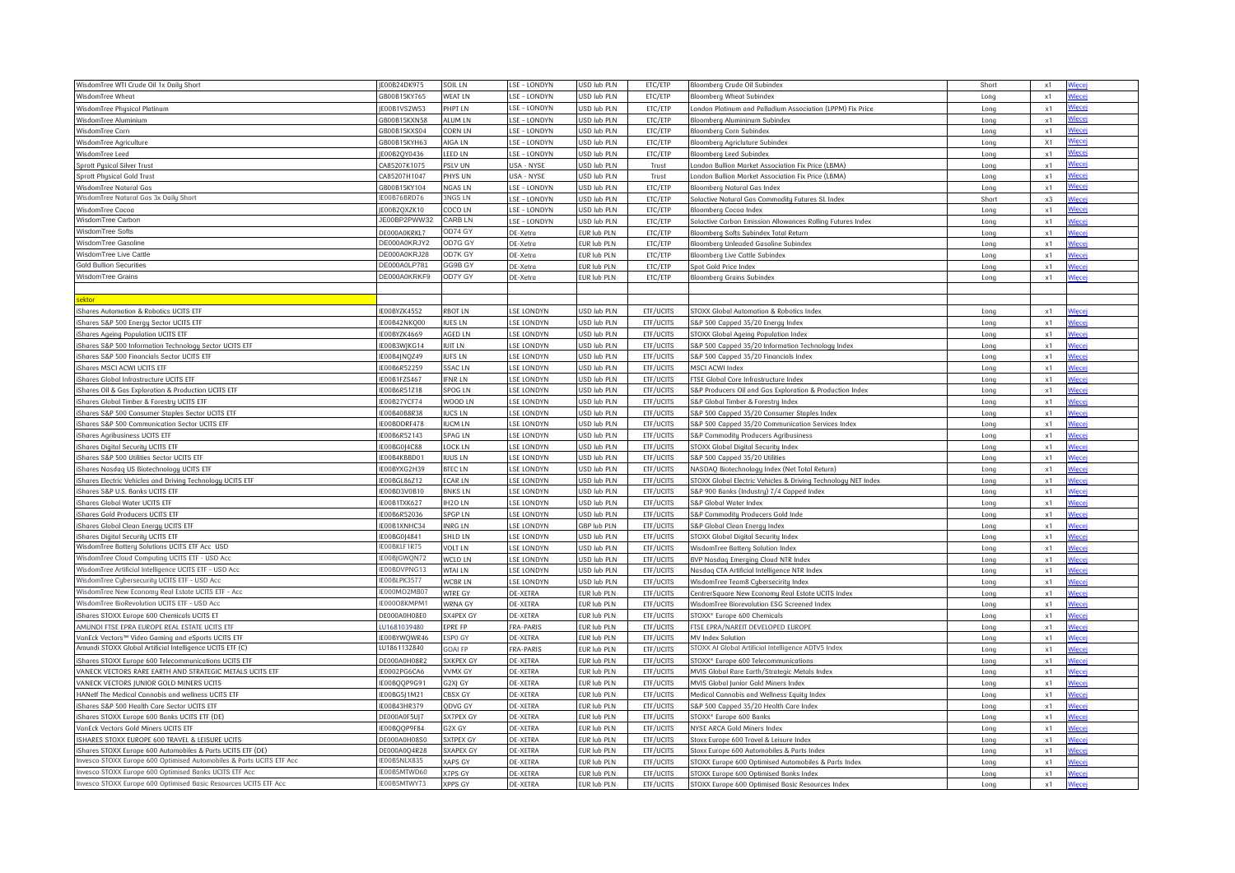| WisdomTree WTI Crude Oil 1x Daily Short                             | E00B24DK975  | SOIL LN            | <b>SE-LONDYN</b> | USD lub PLN        | ETC/ETP          | Bloomberg Crude Oil Subindex                                  | Short       | x1         | <u>liecej</u> |
|---------------------------------------------------------------------|--------------|--------------------|------------------|--------------------|------------------|---------------------------------------------------------------|-------------|------------|---------------|
| WisdomTree Wheat                                                    | 6800B15KY765 | <b>WEAT LN</b>     | SE - LONDYN      | <b>SD lub PLN</b>  | ETC/ETP          | Bloomberg Wheat Subindex                                      | Long        | $\times$ 1 | /iecei        |
| WisdomTree Physical Platinum                                        | E00B1VS2W53  | <b>HPT LN</b>      | LSE - LONDYN     | <b>SD lub PLN</b>  | ETC/ETP          | London Platinum and Palladium Association (LPPM) Fix Price    | Long        | x1         | Viecej        |
| WisdomTree Aluminium                                                | 6800B15KXN58 | ALUM LN            | LSE - LONDYN     | <b>SD lub PLN</b>  | ETC/ETP          | Bloomberg Alumininum Subindex                                 | Long        | x1         | <u>liecei</u> |
| WisdomTree Corn                                                     | 6800B15KXS04 | CORN LN            | LSE - LONDYN     | <b>SD lub PLN</b>  | ETC/ETP          | Bloomberg Corn Subindex                                       | Long        | x1         | liecej        |
| WisdomTree Agriculture                                              | 6800B15KYH63 | AIGA LN            | LSE - LONDYN     | <b>SD lub PLN</b>  | ETC/ETP          | Bloomberg Agricluture Subindex                                | Long        | X1         | Viecei        |
| WisdomTree Leed                                                     | E00B2QY0436  | LEED LN            | LSE - LONDYN     | <b>SD lub PLN</b>  | ETC/ETP          | Bloomberg Leed Subindex                                       | Long        | x1         | lięcej        |
| <b>Sprott Pusical Silver Trust</b>                                  | CA85207K1075 | PSLV UN            | USA - NYSE       | JSD lub PLN        | Trust            | London Bullion Market Association Fix Price (LBMA)            | Long        | x1         | liecei        |
| Sprott Physical Gold Trust                                          | CA85207H1047 | PHYS UN            | JSA - NYSE       | <b>SD lub PLN</b>  | Trust            | ondon Bullion Market Association Fix Price (LBMA)             | Long        | x1         | <b>liecei</b> |
| WisdomTree Natural Gas                                              | 6800B15KY104 | <b>VGAS LN</b>     | LSE - LONDYN     | <b>SD lub PLN</b>  | ETC/ETP          | Bloomberg Natural Gas Index                                   | Long        | x1         | <b>liecei</b> |
| WisdomTree Natural Gas 3x Daily Short                               | E00B76BRD76  | <b>3NGS LN</b>     | LSE - LONDYN     | <b>SD lub PLN</b>  | ETC/ETP          | Solactive Natural Gas Commodity Futures SL Index              | Short       | x3         |               |
| WisdomTree Cocor                                                    | E00B2OXZK10  | COCO LN            | SE - LONDYN      | <b>SD lub PLN</b>  | FTC/FTP          | Bloomberg Cocog Index                                         | Long        | x1         | <b>liece</b>  |
| WisdomTree Carbon                                                   | E00BP2PWW32  | CARB LN            | <b>SE-LONDYN</b> | <b>SD lub PLN</b>  | ETC/ETP          | Solactive Carbon Emission Allowances Rolling Futures Index    | Long        | x1         | liece         |
| WisdomTree Softs                                                    | E000A0KRKL7  | OD74 GY            | E-Xetra          | UR lub PLN         | ETC/ETP          | Bloomberg Softs Subindex Total Return                         | Long        | x1         | liece         |
| WisdomTree Gasoline                                                 | DE000A0KRJY2 | OD7G GY            | DE-Xetra         | UR lub PLN         | ETC/ETP          | Bloomberg Unleaded Gasoline Subindex                          | Long        | x1         | liece         |
| WisdomTree Live Cattle                                              | DE000A0KRJ28 | OD7K GY            | DE-Xetra         | UR lub PLN         | ETC/ETP          | Bloomberg Live Cattle Subindex                                | Long        | x1         | liece         |
| <b>Gold Bullion Securities</b>                                      | DE000A0LP781 | GG9B GY            | DE-Xetra         | UR lub PLN         | ETC/ETP          | Spot Gold Price Index                                         | Long        | x1         |               |
| <b>NisdomTree Grains</b>                                            | DE000A0KRKF9 | OD7Y GY            | DE-Xetra         | UR lub PLN         | ETC/ETP          |                                                               |             | x1         |               |
|                                                                     |              |                    |                  |                    |                  | <b>Bloomberg Grains Subindex</b>                              | Long        |            |               |
| ektor                                                               |              |                    |                  |                    |                  |                                                               |             |            |               |
|                                                                     |              |                    |                  |                    |                  |                                                               |             |            |               |
| iShares Automation & Robotics UCITS ETF                             | E00BYZK4552  | RBOT LN            | <b>SE LONDYN</b> | JSD lub PLN        | ETF/UCITS        | STOXX Global Automation & Robotics Index                      | Long        | x1         | <b>Jiec</b>   |
| iShares S&P 500 Energy Sector UCITS ETF                             | E00B42NKO00  | <b>UES LN</b>      | <b>SE LONDYN</b> | <b>SD lub PLN</b>  | ETF/UCITS        | S&P 500 Capped 35/20 Energy Index                             | Long        | x1         |               |
| Shares Ageing Population UCITS ETF                                  | E00BYZK4669  | AGED LN            | SE LONDYN        | <b>SD lub PLN</b>  | ETF/UCITS        | STOXX Global Ageing Population Index                          | Long        | x1         | 'iece         |
| iShares S&P 500 Information Technology Sector UCITS ETF             | E00B3WJKG14  | UIT LN             | <b>SE LONDYN</b> | JSD lub PLN        | ETF/UCITS        | S&P 500 Capped 35/20 Information Technology Index             | Long        | x1         | <i>l</i> iece |
| iShares S&P 500 Financials Sector UCITS ETF                         | E00B4JNQZ49  | UFS LN             | LSE LONDYN       | JSD lub PLN        | ETF/UCITS        | S&P 500 Capped 35/20 Financials Index                         | Long        | x1         | Viece         |
| iShares MSCI ACWI UCITS ETF                                         | E00B6R52259  | SSAC <sub>LN</sub> | <b>SE LONDYN</b> | <b>SD lub PLN</b>  | ETF/UCITS        | MSCI ACWI Index                                               | Long        | x1         | liece         |
| iShares Global Infrastructure UCITS ETF                             | E00B1FZS467  | FNR LN             | <b>SE LONDYN</b> | <b>SD lub PLN</b>  | ETF/UCITS        | FTSE Global Core Infrastructure Index                         | Long        | x1         | Viece         |
| iShares Oil & Gas Exploration & Production UCITS ETF                | E00B6R51Z18  | SPOG <sub>LN</sub> | SE LONDYN        | <b>ISD lub PLN</b> | ETF/UCITS        | S&P Producers Oil and Gas Exploration & Production Index      | Long        | x1         |               |
| iShares Global Timber & Forestry UCITS ETF                          | E00B27YCF74  | WOOD LN            | <b>SE LONDYN</b> | JSD lub PLN        | ETF/UCITS        | S&P Global Timber & Forestry Index                            | Long        | x1         | liece         |
| iShares S&P 500 Consumer Staples Sector UCITS ETF                   | E00B40B8R38  | UCS LN             | <b>SE LONDYN</b> | <b>SD lub PLN</b>  | ETF/UCITS        | S&P 500 Capped 35/20 Consumer Staples Index                   | Long        | x1         | liece         |
| Shares S&P 500 Communication Sector UCITS ETF                       | E00BDDRF478  | UCM LN             | SE LONDYN        | <b>SD lub PLN</b>  | ETF/UCITS        | S&P 500 Capped 35/20 Communication Services Index             | Long        | x1         | liece         |
| iShares Agribusiness UCITS ETF                                      | E00B6R52143  | SPAG LN            | <b>SE LONDYN</b> | JSD lub PLN        | ETF/UCITS        | S&P Commodity Producers Agribusiness                          | Long        | x1         | liece         |
| iShares Digital Security UCITS ETF                                  | E00BG0J4C88  | LOCK LN            | LSE LONDYN       | <b>SD lub PLN</b>  | ETF/UCITS        | STOXX Global Digital Security Index                           | Long        | x1         |               |
| iShares S&P 500 Utilities Sector UCITS ETF                          | E00B4KBBD01  | IUUS LN            | <b>SE LONDYN</b> | <b>SD lub PLN</b>  | ETF/UCITS        | S&P 500 Capped 35/20 Utilities                                | Long        | x1         | liece         |
| iShares Nasdag US Biotechnology UCITS ETF                           | E00BYXG2H39  | <b>BTECLN</b>      | <b>SE LONDYN</b> | <b>SD lub PLN</b>  | ETF/UCITS        | NASDAO Biotechnology Index (Net Total Return)                 | Long        | x1         | <b>liece</b>  |
| iShares Electric Vehicles and Driving Technology UCITS ETH          | E00BGL86Z12  | <b>CARLN</b>       | <b>SE LONDYN</b> | <b>SD lub PLN</b>  | ETF/UCITS        | STOXX Global Electric Vehicles & Driving Technology NET Index | Long        | x1         |               |
| iShares S&P U.S. Banks UCITS ETF                                    | E00BD3V0B10  | <b>BNKSLN</b>      | <b>SE LONDYN</b> | <b>SD lub PLN</b>  | ETF/UCITS        | S&P 900 Banks (Industry) 7/4 Capped Index                     | Long        | x1         | 'iece         |
| iShares Global Water UCITS ETF                                      | E00B1TXK627  | H <sub>20</sub> LN | <b>SE LONDYN</b> | <b>SD lub PLN</b>  | ETF/UCITS        | S&P Global Water Index                                        | Long        | x1         | Viece         |
| Shares Gold Producers UCITS ETH                                     | 00B6R52036   | SPGP LN            | SE LONDYN        | SD lub PLN         | ETF/UCITS        | S&P Commodity Producers Gold Inde                             | Long        | x1         |               |
| iShares Global Clean Energy UCITS ETF                               | E00B1XNHC34  | <b>INRG LN</b>     | <b>SE LONDYN</b> | <b>GBP</b> lub PLN | ETF/UCITS        | S&P Global Clean Energy Index                                 | Long        | x1         | liece         |
| iShares Digital Security UCITS ETF                                  | 00BG0J4841   | SHLD LN            | SE LONDYN        | <b>SD lub PLN</b>  | ETF/UCITS        | STOXX Global Digital Security Index                           | Long        | x1         | Viece         |
| WisdomTree Battery Solutions UCITS ETF Acc USD                      | E00BKLF1R75  | VOLT LN            | <b>SE LONDYN</b> | <b>SD lub PLN</b>  | ETF/UCITS        | WisdomTree Battery Solution Index                             | Long        | x1         |               |
| WisdomTree Cloud Computing UCITS ETF - USD Acc                      | E00BJGWQN72  | <b>NCLD LN</b>     | <b>SE LONDYN</b> | <b>SD lub PLN</b>  | ETF/UCITS        | BVP Nasdaq Emerging Cloud NTR Index                           | Long        | x1         |               |
| WisdomTree Artificial Intelligence UCITS ETF - USD Acc              | E00BDVPNG13  | <b>WTAI LN</b>     | <b>SE LONDYN</b> | <b>SD lub PLN</b>  | ETF/UCITS        | Nasdag CTA Artificial Intelligence NTR Index                  | Long        | x1         | <b>Viece</b>  |
| WisdomTree Cybersecurity UCITS ETF - USD Acc                        | E00BLPK3577  | <b>WCBRLN</b>      | <b>SE LONDYN</b> | <b>SD lub PLN</b>  | ETF/UCITS        | WisdomTree Team8 Cubersecirity Index                          | Long        | x1         | 'iec          |
| WisdomTree New Economy Real Estate UCITS ETF - Acc                  | E000MO2MB07  | WTRE GY            | <b>DE-XETRA</b>  | UR lub PLN         | ETF/UCITS        | CentrerSquare New Economy Real Estate UCITS Index             | Long        | x1         | Viecei        |
| WisdomTree BioRevolution UCITS ETF - USD Acc                        | E000O8KMPM1  | <b>WRNA GY</b>     | E-XETRA          | UR lub PLN         | ETF/UCITS        | WisdomTree Biorevolution ESG Screened Index                   | Long        | x1         |               |
| iShares STOXX Europe 600 Chemicals UCITS ET                         | DE000A0H08E0 | SX4PEX GY          | DE-XETRA         | UR lub PLN         | ETF/UCITS        | STOXX® Europe 600 Chemicals                                   | Long        | x1         | 'iec€         |
| AMUNDI FTSE EPRA EUROPE REAL ESTATE UCITS ETF                       | U1681039480  | EPRE FP            | <b>FRA-PARIS</b> | UR lub PLN         | ETF/UCITS        | FTSE EPRA/NAREIT DEVELOPED EUROPE                             | <b>Long</b> | x1         | liece         |
| 'anEck Vectors™ Video Gaming and eSports UCITS ETF                  | E00BYWOWR46  | SPO GY             | E-XETRA          | UR lub PLN         | ETF/UCITS        | MV Index Solution                                             | Long        | x1         |               |
| Amundi STOXX Global Artificial Intelligence UCITS ETF (C)           | U1861132840  | GOAI FP            | <b>FRA-PARIS</b> | UR lub PLN         | ETF/UCITS        | STOXX AI Global Artificial Intelligence ADTV5 Index           | Long        | x1         | Viece         |
| iShares STOXX Europe 600 Telecommunications UCITS ETF               | DE000A0H08R2 | SXKPEX GY          | DE-XETRA         | UR lub PLN         | ETF/UCITS        | STOXX® Europe 600 Telecommunication:                          | Long        | x1         | Viece         |
| VANECK VECTORS RARE EARTH AND STRATEGIC METALS UCITS ETF            | E0002PG6CA6  | <b>VMX GY</b>      | E-XETRA          | UR lub PLN         | <b>ETF/UCITS</b> | MVIS Global Rare Earth/Strategic Metals Index                 | Long        | x1         | lieci         |
| VANECK VECTORS JUNIOR GOLD MINERS UCITS                             | E00BOOP9G91  | 32XJ GY            | DE-XETRA         | UR lub PLN         | ETF/UCITS        | MVIS Global Junior Gold Miners Index                          | Long        | x1         | liece         |
| HANetf The Medical Cannabis and wellness UCITS ETF                  | E00BG5J1M21  | CBSX GY            | DE-XETRA         | UR lub PLN         | ETF/UCITS        | Medical Cannabis and Wellness Equity Index                    | Long        | x1         | <i>l</i> iece |
| iShares S&P 500 Health Care Sector UCITS ETF                        | E00B43HR379  | <b>DDVG GY</b>     | <b>DE-XETRA</b>  | UR lub PLN         | ETF/UCITS        | S&P 500 Capped 35/20 Health Care Index                        | Long        | x1         |               |
| iShares STOXX Europe 600 Banks UCITS ETF (DE)                       | E000A0F5UJ7  | SX7PEX GY          | DE-XETRA         | UR lub PLN         | ETF/UCITS        | STOXX® Europe 600 Banks                                       | Long        | x1         | Viece         |
| VanEck Vectors Gold Miners UCITS ETF                                | E00BOOP9F84  | 32X GY             | DE-XETRA         | UR lub PLN         | ETF/UCITS        | NYSE ARCA Gold Miners Index                                   | Long        | x1         |               |
| ISHARES STOXX EUROPE 600 TRAVEL & LEISURE UCITS                     | DE000A0H08S0 | SXTPEX GY          | DE-XETRA         | UR lub PLN         | ETF/UCITS        | Stoxx Europe 600 Travel & Leisure Index                       | Long        | x1         |               |
| iShares STOXX Europe 600 Automobiles & Parts UCITS ETF (DE)         | E000A0O4R28  | <b>SXAPEX GY</b>   | DE-XETRA         | UR lub PLN         | ETF/UCITS        | Stoxx Europe 600 Automobiles & Parts Index                    | Long        | x1         | liece         |
| nvesco STOXX Europe 600 Optimised Automobiles & Parts UCITS ETF Acc | E00B5NLX835  | <b>KAPS GY</b>     | E-XETRA          | UR lub PLN         | ETF/UCITS        | STOXX Europe 600 Optimised Automobiles & Parts Index          | Long        | x1         |               |
| Invesco STOXX Europe 600 Optimised Banks UCITS ETF Acc              | E00B5MTWD60  | <b>X7PS GY</b>     | DE-XETRA         | UR lub PLN         | ETF/UCITS        | STOXX Europe 600 Optimised Banks Index                        | Long        | x1         |               |
| Invesco STOXX Europe 600 Optimised Basic Resources UCITS ETF Acc    | E00B5MTWY73  | <b>XPPS GY</b>     | <b>DE-XETRA</b>  | EUR lub PLN        | ETF/UCITS        | STOXX Europe 600 Optimised Basic Resources Index              | Long        | x1         |               |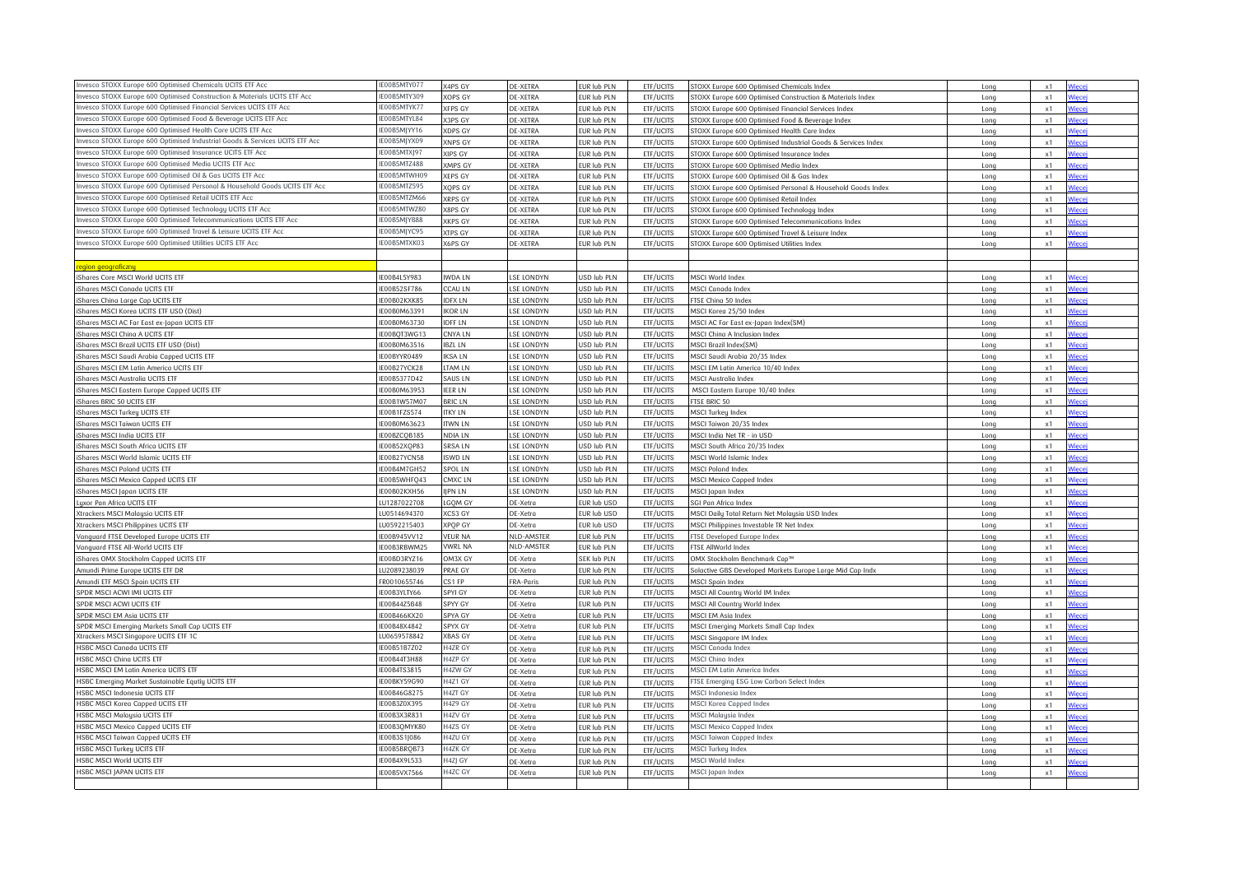| Invesco STOXX Europe 600 Optimised Chemicals UCITS ETF Acc                   | E00B5MTY077 | X4PS GY        | DE-XETRA          | UR lub PLN                | ETF/UCITS              | STOXX Europe 600 Optimised Chemicals Index                                    | Long         | x1         | liece         |
|------------------------------------------------------------------------------|-------------|----------------|-------------------|---------------------------|------------------------|-------------------------------------------------------------------------------|--------------|------------|---------------|
| ivesco STOXX Europe 600 Optimised Construction & Materials UCITS ETF Acc     | E00B5MTY309 | XOPS GY        | DE-XETRA          | EUR lub PLN               | ETF/UCITS              | STOXX Europe 600 Optimised Construction & Materials Index                     | Long         | $\times 1$ |               |
| Invesco STOXX Europe 600 Optimised Financial Services UCITS ETF Acc          | E00B5MTYK77 | <b>XFPS GY</b> | DE-XETRA          | EUR lub PLN               | ETF/UCITS              | TOXX Europe 600 Optimised Financial Services Index                            | Long         | x1         |               |
| Invesco STOXX Europe 600 Optimised Food & Beverage UCITS ETF Acc             | E00B5MTYL84 | 3PS GY         | <b>DE-XETRA</b>   | EUR lub PLN               | ETF/UCITS              | STOXX Europe 600 Optimised Food & Beverage Index                              | Long         | x1         |               |
| Invesco STOXX Europe 600 Optimised Health Care UCITS ETF Acc                 | E00B5MJYY16 | <b>XDPS GY</b> | <b>DE-XETRA</b>   | UR lub PLN                | ETF/UCITS              | STOXX Europe 600 Optimised Health Care Index                                  | Long         | x1         | liece         |
| Invesco STOXX Europe 600 Optimised Industrial Goods & Services UCITS ETF Acc | E00B5MJYX09 | XNPS GY        | DE-XETRA          | EUR lub PLN               | ETF/UCITS              | STOXX Europe 600 Optimised Industrial Goods & Services Index                  | Long         | x1         |               |
| nvesco STOXX Europe 600 Optimised Insurance UCITS ETF Acc                    | E00B5MTXJ97 | XIPS GY        | DE-XETRA          | EUR lub PLN               | ETF/UCITS              | STOXX Europe 600 Optimised Insurance Index                                    | Long         | $\times 1$ | liec          |
| Invesco STOXX Europe 600 Optimised Media UCITS ETF Acc                       | E00B5MTZ488 | <b>XMPS GY</b> | <b>DE-XETRA</b>   | EUR lub PLN               | ETF/UCITS              | STOXX Europe 600 Optimised Media Index                                        | Long         | $\times 1$ | Viecei        |
| Invesco STOXX Europe 600 Optimised Oil & Gas UCITS ETF Acc                   | 0085MTWH09  | <b>KEPS GY</b> | DE-XETRA          | EUR lub PLN               | ETF/UCITS              | STOXX Europe 600 Optimised Oil & Gas Index                                    | Long         | x1         |               |
| Invesco STOXX Europe 600 Optimised Personal & Household Goods UCITS ETF Acc  | E00B5MTZ595 | XOPS GY        | DE-XETRA          | EUR lub PLN               | ETF/UCITS              | STOXX Europe 600 Optimised Personal & Household Goods Index                   | Long         | x1         |               |
| Invesco STOXX Europe 600 Optimised Retail UCITS ETF Acc                      | E00B5MTZM66 | <b>XRPS GY</b> | <b>DE-XETRA</b>   | EUR lub PLN               | ETF/UCITS              | STOXX Europe 600 Optimised Retail Index                                       | Long         | x1         |               |
| Invesco STOXX Europe 600 Optimised Technology UCITS ETF Acc                  | 00B5MTWZ80  | (8PS GY        | <b>DE-XETRA</b>   | UR lub PLN                | ETF/UCITS              | STOXX Europe 600 Optimised Technology Index                                   | Long         | x1         | liece         |
| Invesco STOXX Europe 600 Optimised Telecommunications UCITS ETF Acc          | E00B5MJYB88 | XKPS GY        | <b>DE-XETRA</b>   | EUR lub PLN               | ETF/UCITS              | STOXX Europe 600 Optimised Telecommunications Index                           | Long         | x1         | liece         |
| Invesco STOXX Europe 600 Optimised Travel & Leisure UCITS ETF Acc            | E00B5MJYC95 | <b>XTPS GY</b> | <b>DE-XETRA</b>   | UR lub PLN                | ETF/UCITS              | STOXX Europe 600 Optimised Travel & Leisure Index                             | Long         | x1         |               |
| Invesco STOXX Europe 600 Optimised Utilities UCITS ETF Acc                   | E00B5MTXK03 | <b>K6PS GY</b> | <b>DE-XETRA</b>   | EUR lub PLN               | ETF/UCITS              | STOXX Europe 600 Optimised Utilities Index                                    | Long         | x1         |               |
|                                                                              |             |                |                   |                           |                        |                                                                               |              |            |               |
| egion geograficzny                                                           |             |                |                   |                           |                        |                                                                               |              |            |               |
| iShares Core MSCI World UCITS ETF                                            | E00B4L5Y983 | IWDA LN        | <b>LSE LONDYN</b> | <b>JSD lub PLN</b>        | ETF/UCITS              | MSCI World Index                                                              | Long         | x1         |               |
| iShares MSCI Canada UCITS ETF                                                | E00B52SF786 | <b>CALLIN</b>  | LSE LONDYN        | <b>JSD lub PLN</b>        | ETF/UCITS              | MSCI Canada Index                                                             | Long         | x1         |               |
| iShares China Large Cap UCITS ETF                                            | 00B02KXK85  | DFX LN         | LSE LONDYN        | USD lub PLN               | ETF/UCITS              | FTSE China 50 Index                                                           | Long         | x1         |               |
| iShares MSCI Korea UCITS ETF USD (Dist)                                      | E00B0M63391 | KOR LN         | LSE LONDYN        | JSD lub PLN               | ETF/UCITS              | MSCI Korea 25/50 Index                                                        | Long         | x1         |               |
| iShares MSCI AC Far East ex-Japan UCITS ETF                                  | 00B0M63730  | <b>IDFF LN</b> | <b>LSE LONDYN</b> | USD lub PLN               | ETF/UCITS              | MSCI AC Far East ex-Japan Index(SM)                                           | Long         | x1         |               |
| iShares MSCI China A UCITS ETF                                               | E00BOT3WG13 | <b>NYA LN</b>  | LSE LONDYN        | JSD lub PLN               | ETF/UCITS              | MSCI Ching A Inclusion Index                                                  | Long         | x1         |               |
| iShares MSCI Brazil UCITS ETF USD (Dist)                                     | E00B0M63516 | <b>BZL LN</b>  | LSE LONDYN        | USD lub PLN               | ETF/UCITS              | MSCI Brazil Index(SM)                                                         | Long         | x1         | liece         |
| iShares MSCI Saudi Arabia Capped UCITS ETF                                   | 00BYYR0489  | KSA IN         | LSE LONDYN        | <b>JSD lub PLN</b>        | ETF/UCITS              | MSCI Saudi Arabia 20/35 Index                                                 | Long         | x1         |               |
| iShares MSCI EM Latin America UCITS ETF                                      | E00B27YCK28 | <b>TAM LN</b>  | <b>LSE LONDYN</b> | <b>JSD lub PLN</b>        | ETF/UCITS              | MSCI EM Latin America 10/40 Index                                             | Long         | x1         |               |
| iShares MSCI Australia UCITS ETF                                             | E00B5377D42 | <b>SAUS LN</b> | LSE LONDYN        | <b>JSD lub PLN</b>        | ETF/UCITS              | MSCI Australia Index                                                          | Long         | x1         |               |
| iShares MSCI Eastern Europe Capped UCITS ETF                                 | E00B0M63953 | <b>IEER LN</b> | LSE LONDYN        | USD lub PLN               | ETF/UCITS              | MSCI Eastern Europe 10/40 Index                                               | Long         | x1         |               |
| iShares BRIC 50 UCITS ETF                                                    | 00B1W57M07  | <b>BRIC LN</b> | LSE LONDYN        | <b>JSD lub PLN</b>        | ETF/UCITS              | FTSE BRIC 50                                                                  |              | $\times 1$ | <b>liece</b>  |
| iShares MSCI Turkeu UCITS ETF                                                | 00B1FZS574  | <b>TKY LN</b>  | <b>LSE LONDYN</b> | <b>JSD lub PLN</b>        | ETF/UCITS              | MSCI Turkey Index                                                             | Long<br>Long | x1         | liece         |
| iShares MSCI Taiwan UCITS ETF                                                | E00B0M63623 | <b>TWN LN</b>  | <b>SE LONDYN</b>  | JSD lub PLN               | ETF/UCITS              | MSCI Taiwan 20/35 Index                                                       | Long         | x1         |               |
| iShares MSCI India UCITS ETF                                                 | E00BZCOB185 | NDIA LN        | LSE LONDYN        | USD lub PLN               | ETF/UCITS              | MSCI India Net TR - in USD                                                    | Long         | x1         |               |
| iShares MSCI South Africa UCITS ETF                                          | E00B52XOP83 | <b>SRSALN</b>  | <b>LSE LONDYN</b> | JSD lub PLN               | ETF/UCITS              | MSCI South Africa 20/35 Index                                                 | Long         | $\times 1$ | Viece         |
| iShares MSCI World Islamic UCITS ETF                                         | 00B27YCN58  | SWD LN         | LSE LONDYN        | <b>JSD lub PLN</b>        | ETF/UCITS              | MSCI World Islamic Index                                                      | Long         | x1         | ∕iec∈         |
| iShares MSCI Poland UCITS ETF                                                | E00B4M7GH52 | SPOL LN        | LSE LONDYN        | USD lub PLN               | ETF/UCITS              | MSCI Poland Index                                                             | Long         | $\times 1$ | Viece         |
| iShares MSCI Mexico Capped UCITS ETF                                         | E00B5WHFO43 | MXC LN         | LSE LONDYN        | USD lub PLN               | ETF/UCITS              | MSCI Mexico Capped Index                                                      | Long         | x1         |               |
| iShares MSCI Japan UCITS ETF                                                 | 00B02KXH56  | <b>IPN LN</b>  | <b>LSE LONDYN</b> | USD lub PLN               | ETF/UCITS              | MSCI Japan Index                                                              | Long         | x1         |               |
| uxor Pan Africa UCITS ETF                                                    | U1287022708 | <b>GOM GY</b>  | DE-Xetra          | UR lub USD                | ETF/UCITS              | SGI Pan Africa Index                                                          | Long         | x1         | liece         |
| Xtrackers MSCI Malaysia UCITS ETF                                            | U0514694370 | <b>KCS3 GY</b> | DE-Xetra          | EUR lub USD               | ETF/UCITS              | MSCI Daily Total Return Net Malaysia USD Index                                | Long         | x1         | <i>l</i> iece |
| Xtrackers MSCI Philippines UCITS ETF                                         | U0592215403 | XPQP GY        | DE-Xetra          | EUR lub USD               | ETF/UCITS              | MSCI Philippines Investable TR Net Index                                      | Long         | x1         |               |
| Vanauard FTSE Developed Europe UCITS ETF                                     | 00B945VV12  | <b>VEUR NA</b> | NLD-AMSTER        | EUR lub PLN               | ETF/UCITS              | FTSE Developed Europe Index                                                   | Long         | x1         |               |
| Vanquard FTSE All-World UCITS ETF                                            | 00B3RBWM25  | VWRL NA        | NLD-AMSTER        | UR lub PLN                | ETF/UCITS              | FTSE AllWorld Index                                                           | Long         | x1         |               |
| iShares OMX Stockholm Capped UCITS ETF                                       | F00BD3RY716 | <b>M3X GY</b>  | DE-Xetra          | SEK lub PLN               | ETF/UCITS              | OMX Stockholm Benchmark Cap™                                                  | Long         | x1         |               |
|                                                                              | J2089238039 | PRAE GY        | DE-Xetra          | UR lub PLN                | ETF/UCITS              |                                                                               |              | $\times 1$ |               |
| mundi Prime Europe UCITS ETF DR<br>Amundi ETF MSCI Spain UCITS ETF           | R0010655746 | S1 FP          | FRA-Paris         | EUR lub PLN               | ETF/UCITS              | Solactive GBS Developed Markets Europe Large Mid Cap Indx<br>MSCI Spain Index | Long<br>Long | x1         | 'iec          |
| SPDR MSCI ACWI IMI UCITS ETF                                                 | E00B3YLTY66 | SPYI GY        | DE-Xetra          | UR lub PLN                | ETF/UCITS              | MSCI All Country World IM Index                                               | Long         | x1         |               |
| SPDR MSCI ACWI UCITS ETF                                                     | E00B44Z5B48 | SPYY GY        | DE-Xetra          | EUR lub PLN               | ETF/UCITS              | MSCI All Country World Index                                                  | Long         | x1         |               |
| SPDR MSCI EM Asia UCITS ETF                                                  | E00B466KX20 | SPYA GY        | DE-Xetra          | EUR lub PLN               | ETF/UCITS              | MSCI EM Asia Index                                                            |              | x1         | <b>liecei</b> |
| PDR MSCI Emerging Markets Small Cap UCITS ETF                                | E00B48X4842 | SPYX GY        | DE-Xetra          | UR lub PLN                | ETF/UCITS              | MSCI Emerging Markets Small Cap Index                                         | Long<br>Long | $\times 1$ | Viece         |
| Xtrackers MSCI Singapore UCITS ETF 1C                                        | U0659578842 | <b>XBAS GY</b> | DE-Xetra          | UR lub PLN                | ETF/UCITS              | MSCI Singapore IM Index                                                       | Long         | x1         |               |
| <b>HSBC MSCI Canada UCITS ETF</b>                                            | 0085187Z02  | <b>HAZR GY</b> | DE-Xetra          | EUR lub PLN               | ETF/UCITS              | MSCI Canada Index                                                             |              | x1         | liece         |
| <b>HSBC MSCI China UCITS ETF</b>                                             | E00B44T3H88 | H4ZP GY        | DE-Xetro          | UR lub PLN                | ETF/UCITS              | MSCI China Index                                                              | Long<br>Long | x1         |               |
| HSBC MSCI EM Latin America UCITS ETF                                         | E00B4TS3815 | ዘ4ZW GY        | DE-Xetra          | UR lub PLN                | ETF/UCITS              | MSCI EM Latin America Index                                                   | Long         | x1         |               |
| HSBC Emerging Market Sustainable Equtiy UCITS ETF                            | 00BKY59G90  | 44Z1 GY        | DE-Xetro          | UR lub PLN                | ETF/UCITS              | FTSE Emerging ESG Low Carbon Select Index                                     | Long         | x1         |               |
| <b>HSBC MSCI Indonesia UCITS ETF</b>                                         | E00B46G8275 | <b>HAZT GY</b> | DE-Xetra          |                           |                        | MSCI Indonesia Index                                                          |              | x1         |               |
| HSBC MSCI Korea Capped UCITS ETF                                             | E00B3Z0X395 | H4Z9 GY        | DE-Xetra          | EUR lub PLN<br>UR lub PLN | ETF/UCITS<br>ETF/UCITS | MSCI Korea Capped Index                                                       | Long         | x1         |               |
| HSBC MSCI Malaysia UCITS ETF                                                 | E00B3X3R831 | H4ZV GY        | DE-Xetro          | UR lub PLN                | ETF/UCITS              | <b>MSCI Malausia Index</b>                                                    | Long         | x1         | liece         |
| HSBC MSCI Mexico Capped UCITS ETF                                            | E00B3OMYK80 | 14ZS GY        | DE-Xetra          |                           |                        | MSCI Mexico Capped Index                                                      | Long         |            |               |
| HSBC MSCI Taiwan Capped UCITS ETF                                            | E00B3S1J086 | 44ZU GY        |                   | UR lub PLN                | <b>ETF/UCITS</b>       | MSCI Taiwan Capped Index                                                      | Long         | x1         |               |
| <b>HSBC MSCI Turkey UCITS ETF</b>                                            | E00B5BROB73 | H4ZK GY        | DE-Xetra          | EUR lub PLN               | ETF/UCITS              | MSCI Turkey Index                                                             | Long         | $\times 1$ |               |
| <b>HSBC MSCI World UCITS ETF</b>                                             | E00B4X9L533 | 44ZJ GY        | DE-Xetra          | UR lub PLN                | <b>FTF/UCITS</b>       | MSCI World Index                                                              | Long         | x1         |               |
| <b>HSBC MSCI IAPAN UCITS ETF</b>                                             |             | 14ZC GY        | DE-Xetra          | UR lub PLN                | ETF/UCITS              |                                                                               | Long         | x1         |               |
|                                                                              | E00B5VX7566 |                | DE-Xetra          | UR lub PLN                | ETF/UCITS              | MSCI Japan Index                                                              | Long         | x1         |               |
|                                                                              |             |                |                   |                           |                        |                                                                               |              |            |               |